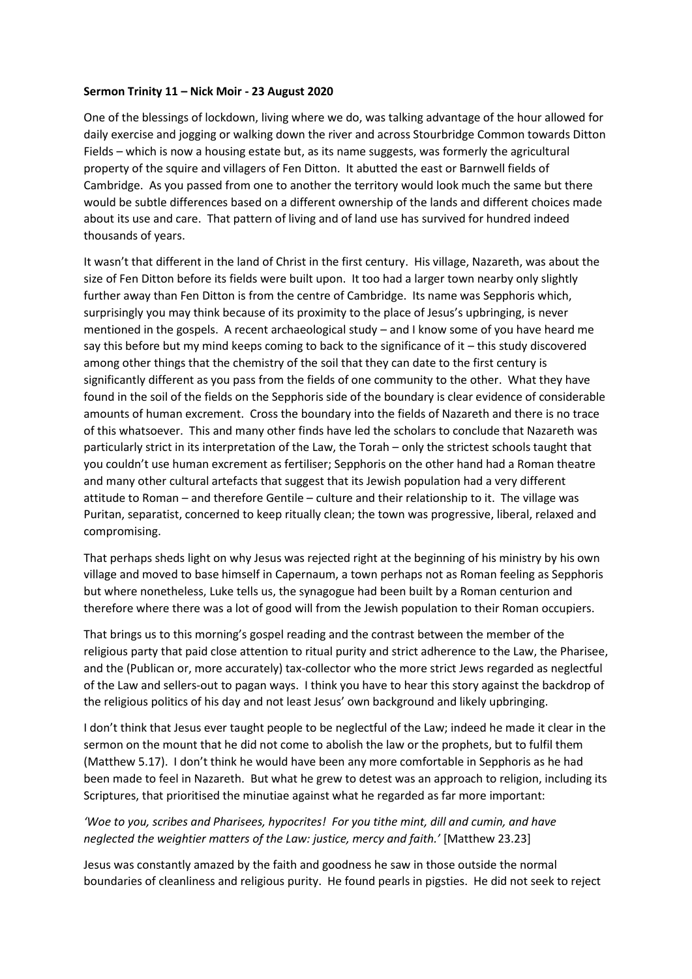## **Sermon Trinity 11 – Nick Moir - 23 August 2020**

One of the blessings of lockdown, living where we do, was talking advantage of the hour allowed for daily exercise and jogging or walking down the river and across Stourbridge Common towards Ditton Fields – which is now a housing estate but, as its name suggests, was formerly the agricultural property of the squire and villagers of Fen Ditton. It abutted the east or Barnwell fields of Cambridge. As you passed from one to another the territory would look much the same but there would be subtle differences based on a different ownership of the lands and different choices made about its use and care. That pattern of living and of land use has survived for hundred indeed thousands of years.

It wasn't that different in the land of Christ in the first century. His village, Nazareth, was about the size of Fen Ditton before its fields were built upon. It too had a larger town nearby only slightly further away than Fen Ditton is from the centre of Cambridge. Its name was Sepphoris which, surprisingly you may think because of its proximity to the place of Jesus's upbringing, is never mentioned in the gospels. A recent archaeological study – and I know some of you have heard me say this before but my mind keeps coming to back to the significance of it – this study discovered among other things that the chemistry of the soil that they can date to the first century is significantly different as you pass from the fields of one community to the other. What they have found in the soil of the fields on the Sepphoris side of the boundary is clear evidence of considerable amounts of human excrement. Cross the boundary into the fields of Nazareth and there is no trace of this whatsoever. This and many other finds have led the scholars to conclude that Nazareth was particularly strict in its interpretation of the Law, the Torah – only the strictest schools taught that you couldn't use human excrement as fertiliser; Sepphoris on the other hand had a Roman theatre and many other cultural artefacts that suggest that its Jewish population had a very different attitude to Roman – and therefore Gentile – culture and their relationship to it. The village was Puritan, separatist, concerned to keep ritually clean; the town was progressive, liberal, relaxed and compromising.

That perhaps sheds light on why Jesus was rejected right at the beginning of his ministry by his own village and moved to base himself in Capernaum, a town perhaps not as Roman feeling as Sepphoris but where nonetheless, Luke tells us, the synagogue had been built by a Roman centurion and therefore where there was a lot of good will from the Jewish population to their Roman occupiers.

That brings us to this morning's gospel reading and the contrast between the member of the religious party that paid close attention to ritual purity and strict adherence to the Law, the Pharisee, and the (Publican or, more accurately) tax-collector who the more strict Jews regarded as neglectful of the Law and sellers-out to pagan ways. I think you have to hear this story against the backdrop of the religious politics of his day and not least Jesus' own background and likely upbringing.

I don't think that Jesus ever taught people to be neglectful of the Law; indeed he made it clear in the sermon on the mount that he did not come to abolish the law or the prophets, but to fulfil them (Matthew 5.17). I don't think he would have been any more comfortable in Sepphoris as he had been made to feel in Nazareth. But what he grew to detest was an approach to religion, including its Scriptures, that prioritised the minutiae against what he regarded as far more important:

## *'Woe to you, scribes and Pharisees, hypocrites! For you tithe mint, dill and cumin, and have neglected the weightier matters of the Law: justice, mercy and faith.'* [Matthew 23.23]

Jesus was constantly amazed by the faith and goodness he saw in those outside the normal boundaries of cleanliness and religious purity. He found pearls in pigsties. He did not seek to reject